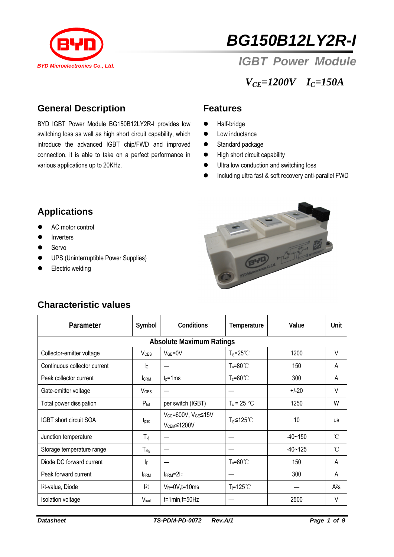

# *BG150B12LY2R-I*

## **BYD Microelectronics Co., Ltd. IGBT POWER Module**

*VCE=1200V IC=150A* 

#### **General Description**

various applications up to 20KHz. BYD IGBT Power Module BG150B12LY2R-I provides low switching loss as well as high short circuit capability, which introduce the advanced IGBT chip/FWD and improved connection, it is able to take on a perfect performance in

#### **Features**

- $\bullet$  Half-bridge
- $\bullet$  Low inductance
- Standard package
- $\bullet$  High short circuit capability
- $\bullet$  Ultra low conduction and switching loss
- **•** Including ultra fast & soft recovery anti-parallel FWD

### **Applications**

- AC motor control
- Inverters
- $\bullet$  Servo
- **•** UPS (Uninterruptible Power Supplies)
- Electric welding



#### **Characteristic values**

| Parameter                       | Symbol                  | Conditions                                               | Temperature           | Value       | Unit         |  |  |  |  |
|---------------------------------|-------------------------|----------------------------------------------------------|-----------------------|-------------|--------------|--|--|--|--|
| <b>Absolute Maximum Ratings</b> |                         |                                                          |                       |             |              |  |  |  |  |
| Collector-emitter voltage       | <b>V</b> <sub>CES</sub> | $VGE=0V$                                                 | $T_{\text{vi}}$ =25°C | 1200        | V            |  |  |  |  |
| Continuous collector current    | $\overline{c}$          |                                                          | $T_c = 80^{\circ}$    | 150         | A            |  |  |  |  |
| Peak collector current          | <b>CRM</b>              | $t_p = 1$ ms                                             | $T_c = 80^{\circ}$    | 300         | A            |  |  |  |  |
| Gate-emitter voltage            | VGES                    |                                                          |                       | $+/-20$     | V            |  |  |  |  |
| Total power dissipation         | $P_{\text{tot}}$        | per switch (IGBT)                                        | $T_c = 25 °C$         | 1250        | W            |  |  |  |  |
| IGBT short circuit SOA          | $t_{\rm psc}$           | $V_{CC}$ =600V, $V_{GE}$ ≤15V<br>V <sub>CEM</sub> ≤1200V | T <sub>vi</sub> ≤125℃ | 10          | <b>us</b>    |  |  |  |  |
| Junction temperature            | $T_{\nu j}$             |                                                          |                       | $-40 - 150$ | $^{\circ}$ C |  |  |  |  |
| Storage temperature range       | $T_{\text{stg}}$        |                                                          |                       | $-40 - 125$ | $^{\circ}$ C |  |  |  |  |
| Diode DC forward current        | IF                      |                                                          | $T_c = 80^{\circ}$    | 150         | A            |  |  |  |  |
| Peak forward current            | <b>FRM</b>              | $I_{\text{FRM}} = 2I_F$                                  |                       | 300         | A            |  |  |  |  |
| l <sup>2</sup> t-value, Diode   | 2t                      | $V_R = 0V$ , t=10ms                                      | $T_i = 125^{\circ}$   |             | $A^2s$       |  |  |  |  |
| Isolation voltage               | Visol                   | $t=1$ min, $f=50$ Hz                                     |                       | 2500        | V            |  |  |  |  |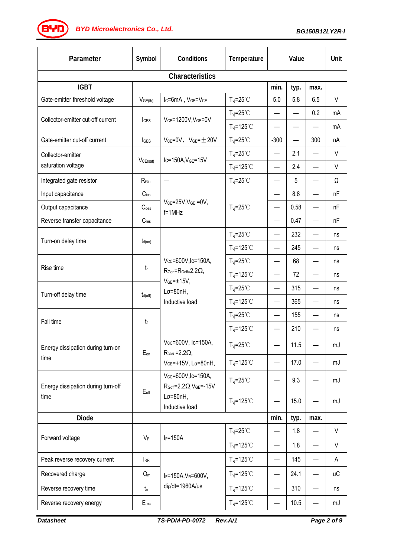**BYD** *BYD Microelectronics Co., Ltd.* BG150B12LY2R-I **BG150B12LY2R-I** 

| Parameter                                  | Symbol                   | Conditions                                                                                                                    | Temperature                          | Value                    |      |                   | Unit   |  |  |
|--------------------------------------------|--------------------------|-------------------------------------------------------------------------------------------------------------------------------|--------------------------------------|--------------------------|------|-------------------|--------|--|--|
| Characteristics                            |                          |                                                                                                                               |                                      |                          |      |                   |        |  |  |
| <b>IGBT</b>                                |                          |                                                                                                                               |                                      | min.                     | typ. | max.              |        |  |  |
| Gate-emitter threshold voltage             | V <sub>GE(th)</sub>      | I <sub>C</sub> =6mA, V <sub>GE</sub> =V <sub>CE</sub>                                                                         | $T_{vi} = 25^{\circ}$ C              | 5.0                      | 5.8  | 6.5               | V      |  |  |
| Collector-emitter cut-off current          | <b>I</b> c <sub>ES</sub> | VCE=1200V, VGE=0V                                                                                                             | $T_{\text{vj}}=25^{\circ}C$          |                          |      | 0.2               | mA     |  |  |
|                                            |                          |                                                                                                                               | $T_{vi} = 125^{\circ}$ C             | —                        |      |                   | mA     |  |  |
| Gate-emitter cut-off current               | IGES                     | $V_{CE} = 0V$ , $V_{GE} = \pm 20V$                                                                                            | $T_{vj} = 25^{\circ}$ C              | $-300$                   |      | 300               | nA     |  |  |
| Collector-emitter                          |                          | Ic=150A, VGE=15V                                                                                                              | $T_{\text{vj}}=25^{\circ}C$          |                          | 2.1  |                   | V      |  |  |
| saturation voltage                         | VCE(sat)                 |                                                                                                                               | $T_{\text{vj}}$ =125°C               | —                        | 2.4  |                   | V      |  |  |
| Integrated gate resistor                   | RGint                    | —                                                                                                                             | $T_{\text{vj}}=25^{\circ}C$          | —                        | 5    |                   | Ω      |  |  |
| Input capacitance                          | $C$ ies                  |                                                                                                                               | $T_{\text{vj}}=25^{\circ}C$          |                          | 8.8  |                   | nF     |  |  |
| Output capacitance                         | C <sub>oes</sub>         | $V_{CE} = 25V$ , $V_{GE} = 0V$ ,<br>$f = 1$ MHz                                                                               |                                      |                          | 0.58 |                   | nF     |  |  |
| Reverse transfer capacitance               | $C_{res}$                |                                                                                                                               |                                      | —                        | 0.47 |                   | nF     |  |  |
| Turn-on delay time                         |                          |                                                                                                                               | $T_{\text{vj}}=25^{\circ}C$          | —                        | 232  |                   | ns     |  |  |
|                                            | $t_{d(on)}$              |                                                                                                                               | $T_{vi} = 125$ °C                    |                          | 245  |                   | ns     |  |  |
| Rise time                                  | $t_{\sf r}$              | Vcc=600V,Ic=150A,<br>$R_{\text{Gon}} = R_{\text{Goff}} = 2.2 \Omega$<br>$VGE = ±15V,$<br>$L\sigma = 80nH$ ,<br>Inductive load | $T_{vi} = 25^{\circ}$ C              |                          | 68   |                   | ns     |  |  |
|                                            |                          |                                                                                                                               | $T_{vj} = 125°C$                     | —                        | 72   |                   | ns     |  |  |
| Turn-off delay time                        | $t_{d(off)}$             |                                                                                                                               | $T_{vi} = 25^{\circ}$ C              | $\overline{\phantom{0}}$ | 315  |                   | ns     |  |  |
|                                            |                          |                                                                                                                               | $T_{vi} = 125$ °C                    | $\qquad \qquad \qquad$   | 365  | $\hspace{0.05cm}$ | ns     |  |  |
| Fall time                                  | tf                       |                                                                                                                               | $T_{vj} = 25°C$                      | —                        | 155  |                   | ns     |  |  |
|                                            |                          |                                                                                                                               | $T_{\text{vj}}$ =125°C               |                          | 210  |                   | ns     |  |  |
| Energy dissipation during turn-on<br>time  | Eon                      | Vcc=600V, Ic=150A,<br>$R_{\text{GON}} = 2.2 \Omega$<br>VGE=+15V, Lσ=80nH,                                                     | $T_{vi} = 25^{\circ}$ C              |                          | 11.5 |                   | mJ     |  |  |
|                                            |                          |                                                                                                                               | $T_{vi} = 125^{\circ}$               |                          | 17.0 |                   | mJ     |  |  |
| Energy dissipation during turn-off<br>time | $E_{off}$                | Vcc=600V,Ic=150A,<br>$R_{Goff} = 2.2 \Omega$ , $V_{GE} = -15V$<br>$L\sigma = 80nH,$<br>Inductive load                         | $T_{vi} = 25^{\circ}$ C              |                          | 9.3  |                   | mJ     |  |  |
|                                            |                          |                                                                                                                               | $T_{vi} = 125$ °C                    |                          | 15.0 |                   | mJ     |  |  |
| <b>Diode</b>                               |                          |                                                                                                                               |                                      | min.                     | typ. | max.              |        |  |  |
| Forward voltage                            | $V_F$                    | $I_F = 150A$                                                                                                                  | $T_{vi} = 25^{\circ}$ C              | —                        | 1.8  |                   | V      |  |  |
|                                            |                          |                                                                                                                               | $T_{vi} = 125^{\circ}$ C             |                          | 1.8  |                   | $\vee$ |  |  |
| Peak reverse recovery current              | <b>IRR</b>               | IF=150A, VR=600V,<br>di <sub>F</sub> /dt=1960A/us                                                                             | $T_{vi} = 125$ °C                    | —                        | 145  |                   | A      |  |  |
| Recovered charge                           | $Q_{rr}$                 |                                                                                                                               | $T_{\text{vi}}$ =125 $\textdegree$ C | —                        | 24.1 |                   | иC     |  |  |
| Reverse recovery time                      | $t_{\rm fr}$             |                                                                                                                               | $T_{vi} = 125^{\circ}$ C             | —                        | 310  |                   | ns     |  |  |
| Reverse recovery energy                    | $E_{rec}$                |                                                                                                                               | $T_{vi} = 125$ °C                    | $\overline{\phantom{0}}$ | 10.5 |                   | mJ     |  |  |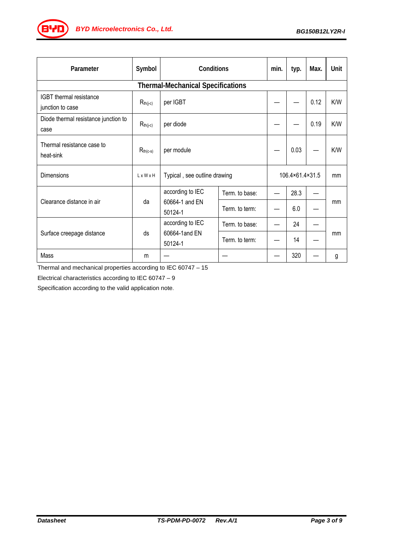

| Parameter                                    | Symbol        | Conditions                                    |                | min.            | typ. | Max. | Unit       |  |  |
|----------------------------------------------|---------------|-----------------------------------------------|----------------|-----------------|------|------|------------|--|--|
| <b>Thermal-Mechanical Specifications</b>     |               |                                               |                |                 |      |      |            |  |  |
| IGBT thermal resistance<br>junction to case  | $R_{th(j-c)}$ | per IGBT                                      |                |                 |      | 0.12 | K/W        |  |  |
| Diode thermal resistance junction to<br>case | $R_{th(j-c)}$ | per diode                                     |                |                 |      | 0.19 | K/W        |  |  |
| Thermal resistance case to<br>heat-sink      | $R_{th(c-s)}$ | per module                                    |                |                 | 0.03 |      | <b>K/W</b> |  |  |
| Dimensions                                   | LxWxH         | Typical, see outline drawing                  |                | 106.4×61.4×31.5 |      | mm   |            |  |  |
| Clearance distance in air                    | da            | according to IEC<br>60664-1 and EN<br>50124-1 | Term, to base: |                 | 28.3 |      | mm         |  |  |
|                                              |               |                                               | Term. to term: |                 | 6.0  |      |            |  |  |
| Surface creepage distance                    | ds            | according to IEC<br>60664-1and EN<br>50124-1  | Term. to base: |                 | 24   |      | mm         |  |  |
|                                              |               |                                               | Term. to term: |                 | 14   |      |            |  |  |
| Mass                                         | m             |                                               |                |                 | 320  |      | g          |  |  |

Thermal and mechanical properties according to IEC 60747 – 15

Electrical characteristics according to IEC 60747 – 9

Specification according to the valid application note.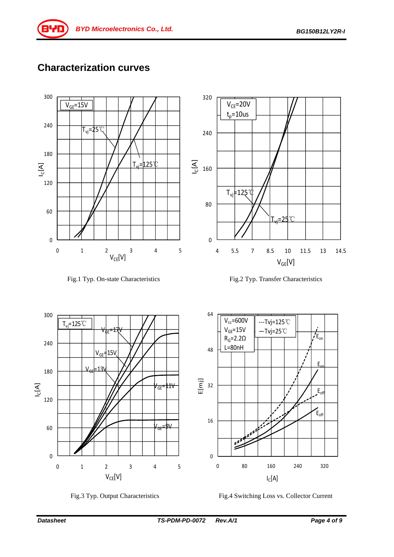### **Characterization curves**













Fig.3 Typ. Output Characteristics Fig.4 Switching Loss vs. Collector Current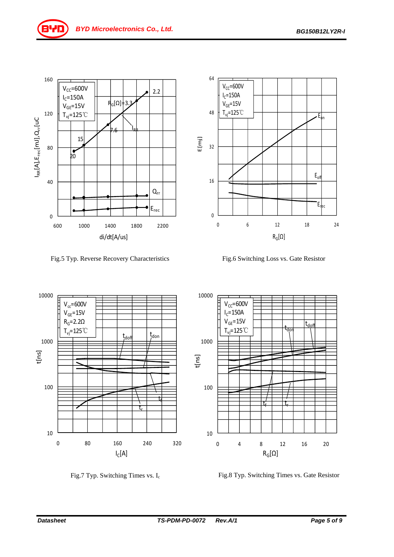

Fig.5 Typ. Reverse Recovery Characteristics Fig.6 Switching Loss vs. Gate Resistor







Fig.7 Typ. Switching Times vs. I<sub>c</sub> Fig.8 Typ. Switching Times vs. Gate Resistor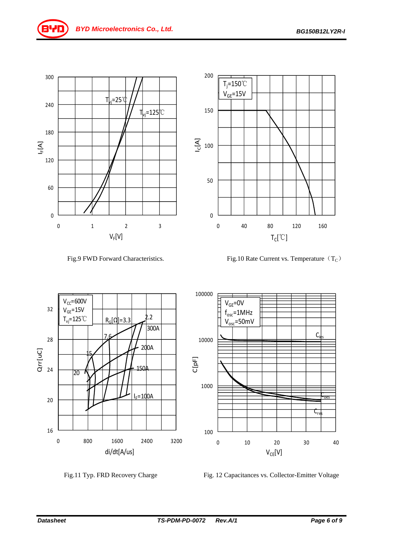

Fig.9 FWD Forward Characteristics. Fig.10 Rate Current vs. Temperature  $(T_C)$ 

 $T_{C}[^{\degree}C]$ 





Fig.11 Typ. FRD Recovery Charge Fig. 12 Capacitances vs. Collector-Emitter Voltage

 $V_{CF}[V]$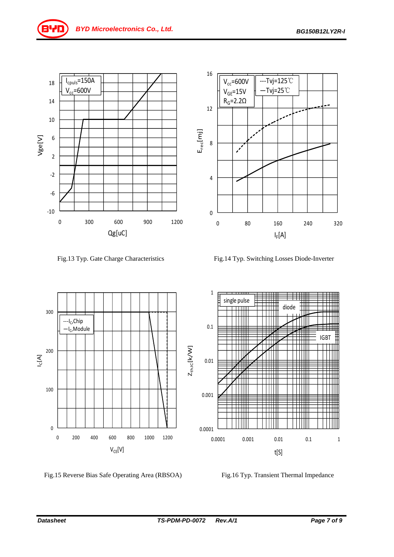

Fig.13 Typ. Gate Charge Characteristics Fig.14 Typ. Switching Losses Diode-Inverter



Fig.15 Reverse Bias Safe Operating Area (RBSOA) Fig.16 Typ. Transient Thermal Impedance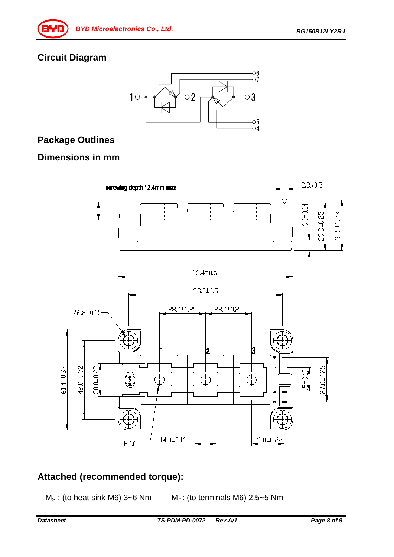#### **Circuit Diagram**



#### **Package Outlines**

#### **Dimensions in mm**



#### **Attached (recommended torque):**

 $M_S$ : (to heat sink M6) 3~6 Nm  $M_t$ : (to terminals M6) 2.5~5 Nm